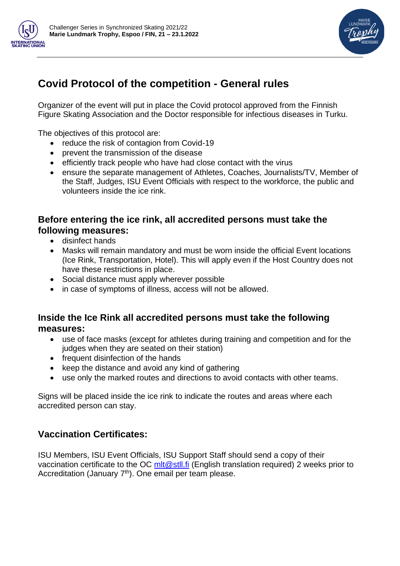



# **Covid Protocol of the competition - General rules**

Organizer of the event will put in place the Covid protocol approved from the Finnish Figure Skating Association and the Doctor responsible for infectious diseases in Turku.

The objectives of this protocol are:

- reduce the risk of contagion from Covid-19
- prevent the transmission of the disease
- efficiently track people who have had close contact with the virus
- ensure the separate management of Athletes, Coaches, Journalists/TV, Member of the Staff, Judges, ISU Event Officials with respect to the workforce, the public and volunteers inside the ice rink.

## **Before entering the ice rink, all accredited persons must take the following measures:**

- disinfect hands
- Masks will remain mandatory and must be worn inside the official Event locations (Ice Rink, Transportation, Hotel). This will apply even if the Host Country does not have these restrictions in place.
- Social distance must apply wherever possible
- in case of symptoms of illness, access will not be allowed.

#### **Inside the Ice Rink all accredited persons must take the following measures:**

- use of face masks (except for athletes during training and competition and for the judges when they are seated on their station)
- frequent disinfection of the hands
- keep the distance and avoid any kind of gathering
- use only the marked routes and directions to avoid contacts with other teams.

Signs will be placed inside the ice rink to indicate the routes and areas where each accredited person can stay.

## **Vaccination Certificates:**

ISU Members, ISU Event Officials, ISU Support Staff should send a copy of their vaccination certificate to the OC  $\frac{m}{r}$  (English translation required) 2 weeks prior to Accreditation (January 7<sup>th</sup>). One email per team please.